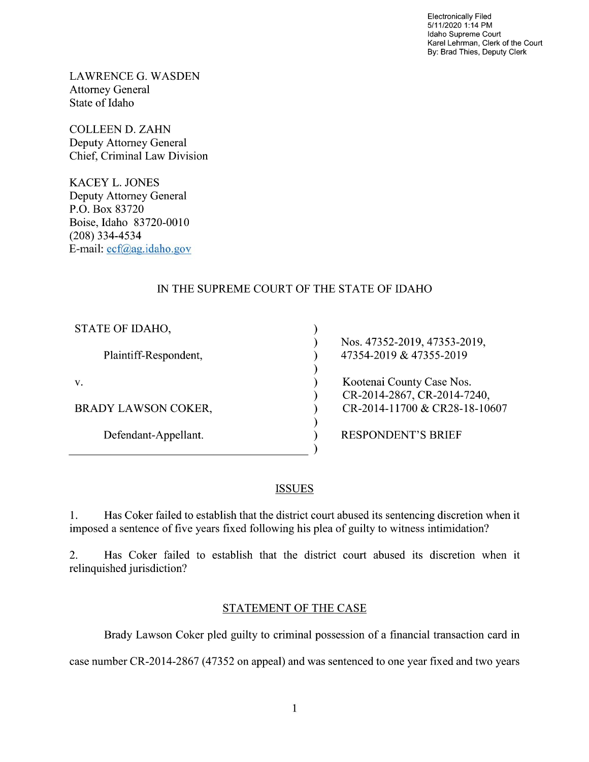Electronically Filed 5/11/2020 1:14 PM Idaho Supreme Court Karel Lehrman, Clerk of the Court By: Brad Thies, Deputy Clerk

LAWRENCE G. WASDEN Attorney General State of Idaho

COLLEEN D. ZAHN Deputy Attorney General Chief, Criminal Law Division

KACEY L. JONES Deputy Attorney General P.O. Box 83720 Boise, Idaho 83720-00 (208) 334—4534 E—mail: ecf@ag.idaho.g0v

# IN THE SUPREME COURT OF THE STATE OF IDAHO

| STATE OF IDAHO,            |                               |
|----------------------------|-------------------------------|
|                            | Nos. 47352-2019, 47353-2019,  |
| Plaintiff-Respondent,      | 47354-2019 & 47355-2019       |
|                            |                               |
| V.                         | Kootenai County Case Nos.     |
|                            | CR-2014-2867, CR-2014-7240,   |
| <b>BRADY LAWSON COKER,</b> | CR-2014-11700 & CR28-18-10607 |
|                            |                               |
| Defendant-Appellant.       | <b>RESPONDENT'S BRIEF</b>     |
|                            |                               |

# ISSUES

1. Has Coker failed to establish that the district court abused its sentencing discretion when it imposed a sentence of five years fixed following his plea of guilty to witness intimidation?

2. Has Coker failed to establish that the district court abused its discretion When it relinquished jurisdiction?

## STATEMENT OF THE CASE

Brady Lawson Coker pled guilty to criminal possession of a financial transaction card in

case number CR-2014-2867 (47352 on appeal) and was sentenced to one year fixed and two years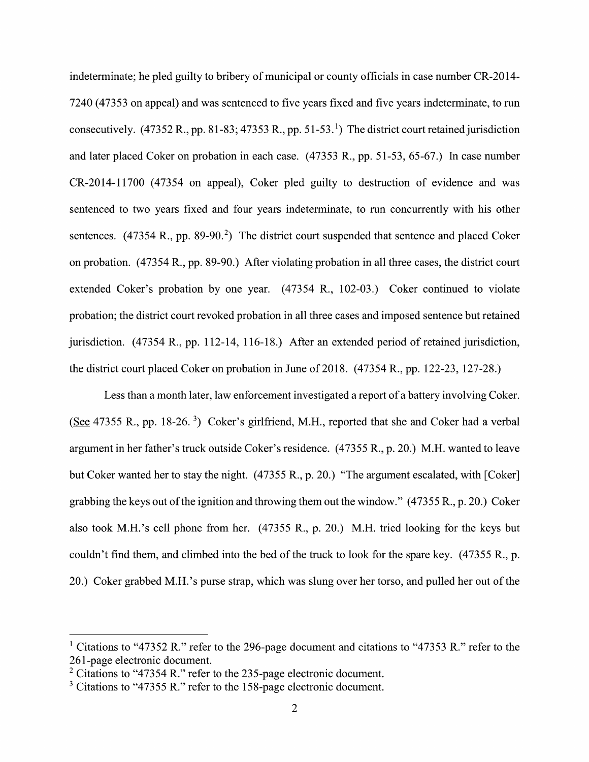indeterminate; he pled guilty t0 bribery 0f municipal or county officials in case number CR-2014- 7240 (47353 0n appeal) and was sentenced to five years fixed and five years indeterminate, to run consecutively. (47352 R., pp. 81-83; 47353 R., pp. 51-53.<sup>1</sup>) The district court retained jurisdiction and later placed Coker on probation in each case. (47353 R., pp. 51-53, 65-67.) In case number CR-2014-11700 (47354 on appeal), Coker pled guilty to destruction of evidence and was sentenced to two years fixed and four years indeterminate, to run concurrently with his other sentences.  $(47354 \text{ R}., \text{pp. } 89-90.^2)$  The district court suspended that sentence and placed Coker on probation. (47354 R., pp. 89-90.) After violating probation in all three cases, the district court extended Coker's probation by one year.  $(47354 \text{ R}., 102-03.)$  Coker continued to violate probation; the district court revoked probation in all three cases and imposed sentence but retained jurisdiction. (47354 R., pp. 112-14, 116-18.) After an extended period of retained jurisdiction, the district court placed Coker 0n probation in June of 2018. (47354 R., pp. 122-23, 127-28.)

Less than a month later, law enforcement investigated a report of a battery involving Coker. (See 47355 R., pp. 18-26.<sup>3</sup>) Coker's girlfriend, M.H., reported that she and Coker had a verbal argument in her father's truck outside Coker's residence. (47355 R., p. 20.) M.H. wanted t0 leave but Coker wanted her to stay the night. (47355 R., p. 20.) "The argument escalated, with [Coker] grabbing the keys out of the ignition and throwing them out the window."  $(47355 R., p. 20.)$  Coker also took M.H.'s cell phone from her. (47355 R., p. 20.) M.H. tried looking for the keys but couldn't find them, and climbed into the bed 0f the truck to look for the spare key. (47355 R., p. 20.) Coker grabbed M.H.'s purse strap, Which was slung over her torso, and pulled her out of the

<sup>&</sup>lt;sup>1</sup> Citations to "47352 R." refer to the 296-page document and citations to "47353 R." refer to the 261-page electronic document.

 $2$  Citations to "47354 R." refer to the 235-page electronic document.

 $3$  Citations to "47355 R." refer to the 158-page electronic document.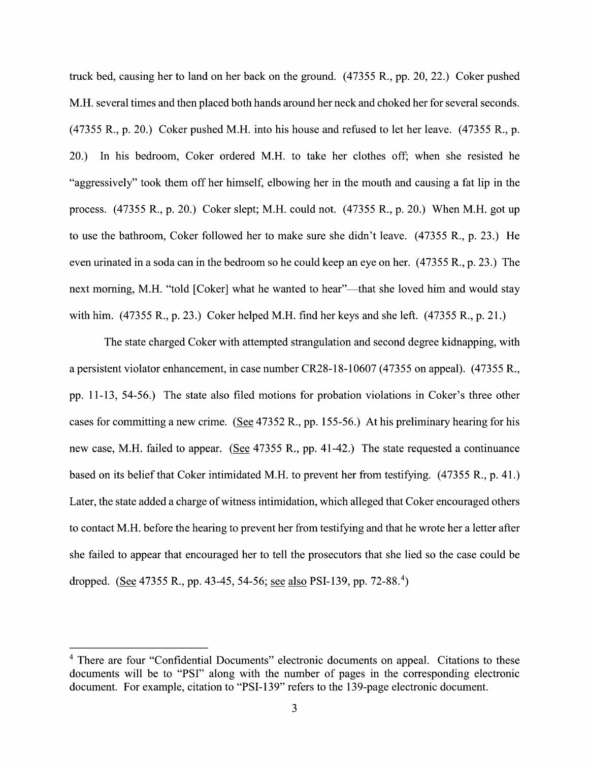truck bed, causing her to land on her back on the ground. (47355 R., pp. 20, 22.) Coker pushed M.H. several times and then placed both hands around her neck and choked her for several seconds. (47355 R., p. 20.) Coker pushed M.H. into his house and refused t0 let her leave. (47355 R., p. 20.) In his bedroom, Coker ordered M.H. to take her clothes off; when she resisted he "aggressively" took them off her himself, elbowing her in the mouth and causing a fat lip in the process. (47355 R., p. 20.) Coker slept; M.H. could not. (47355 R., p. 20.) When M.H. got up to use the bathroom, Coker followed her to make sure she didn't leave. (47355 R., p. 23.) He even urinated in a soda can in the bedroom so he could keep an eye on her.  $(47355 R., p. 23.)$  The next morning, M.H. "told [Coker] what he wanted to hear"—that she loved him and would stay with him. (47355 R., p. 23.) Coker helped M.H. find her keys and she left. (47355 R., p. 21.)

The state charged Coker with attempted strangulation and second degree kidnapping, with a persistent violator enhancement, in case number CR28-18-10607 (47355 on appeal). (47355 R., pp. 11-13, 54-56.) The state also filed motions for probation violations in Coker's three other cases for committing a new crime. (See  $47352$  R., pp. 155-56.) At his preliminary hearing for his new case, M.H. failed to appear. (See 47355 R., pp. 41-42.) The state requested a continuance based on its belief that Coker intimidated M.H. to prevent her from testifying. (47355 R., p. 41.) Later, the state added a charge of witness intimidation, which alleged that Coker encouraged others to contact M.H. before the hearing to prevent her from testifying and that he wrote her a letter after she failed to appear that encouraged her to tell the prosecutors that she lied so the case could be dropped. (See 47355 R., pp. 43-45, 54-56; see also PSI-139, pp. 72-88.<sup>4</sup>)

<sup>&</sup>lt;sup>4</sup> There are four "Confidential Documents" electronic documents on appeal. Citations to these documents Will be to "PSI" along With the number of pages in the corresponding electronic document. For example, citation to "PSI-139" refers to the 139-page electronic document.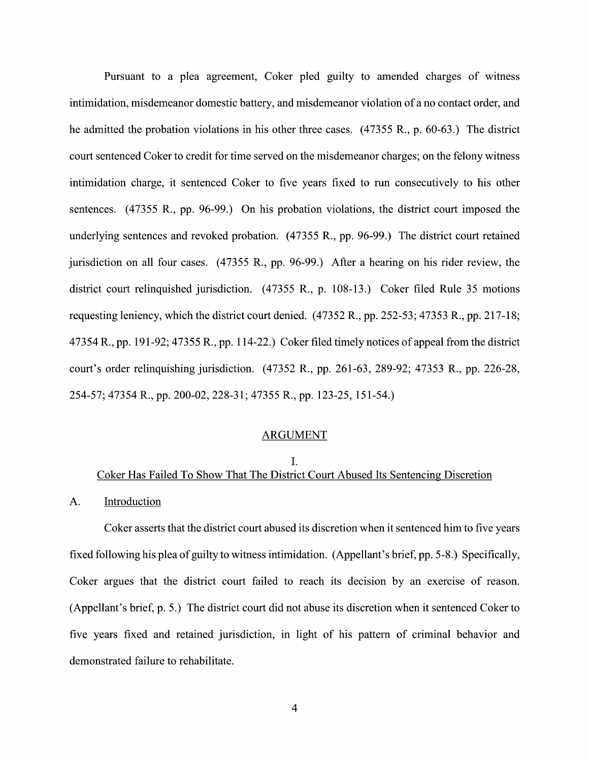Pursuant to a plea agreement, Coker pled guilty to amended charges of witness intimidation, misdemeanor domestic battery, and misdemeanor violation of a no contact order, and he admitted the probation violations in his other three cases.  $(47355 R, p. 60-63)$  The district court sentenced Coker to credit for time served on the misdemeanor charges; on the felony witness intimidation charge, it sentenced Coker to five years fixed to run consecutively to his other sentences.  $(47355 \text{ R}., \text{pp. } 96-99.)$  On his probation violations, the district court imposed the underlying sentences and revoked probation. (47355 R., pp. 96-99.) The district court retained jurisdiction on all four cases.  $(47355 \text{ R}., \text{pp. } 96-99.)$  After a hearing on his rider review, the district court relinquished jurisdiction. (47355 R., p. 108-13.) Coker filed Rule 35 motions requesting leniency, which the district court denied. (47352 R., pp. 252-53; 47353 R., pp. 217-18; 47354 R., pp. 191-92; 47355 R., pp. 114-22.) Coker filed timely notices of appeal from the district court's order relinquishing jurisdiction. (47352 R., pp. 261-63, 289-92; 47353 R., pp. 226-28, 254—57; 47354 R., pp. 200—02, 228—31; 47355 R., pp. 123—25, 151—54.)

### ARGUMENT

# I. Coker Has Failed T0 Show That The District Court Abused Its Sentencing Discretion

## A. Introduction

Coker asserts that the district court abused its discretion When it sentenced him to five years fixed following his plea of guilty to witness intimidation. (Appellant's brief, pp. 5-8.) Specifically, Coker argues that the district court failed to reach its decision by an exercise of reason. (Appellant's brief, p. 5.) The district court did not abuse its discretion When it sentenced Coker t0 five years fixed and retained jurisdiction, in light of his pattern of criminal behavior and demonstrated failure to rehabilitate.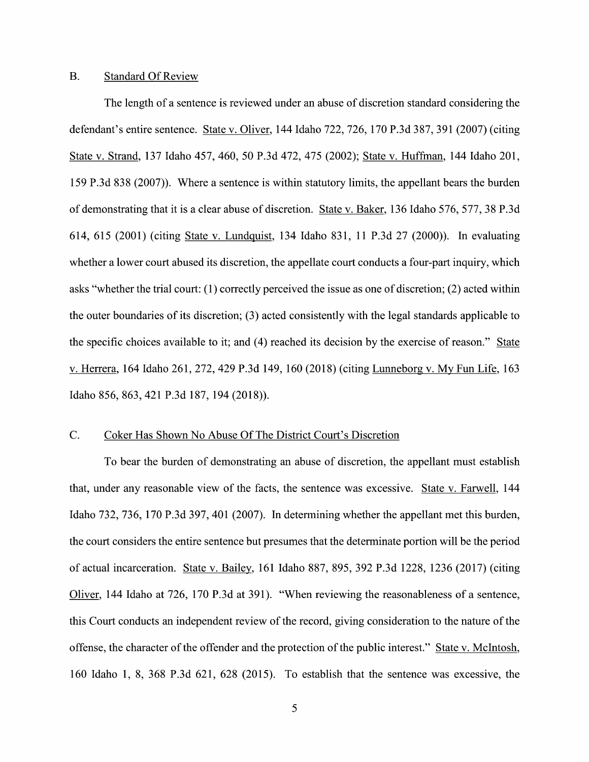## B. Standard Of Review

The length of a sentence is reviewed under an abuse of discretion standard considering the defendant's entire sentence. State V. Oliver, 144 Idaho 722, 726, 170 P.3d 387, 391 (2007) (citing State V. Strand, <sup>137</sup> Idaho 457, 460, <sup>50</sup> P.3d 472, <sup>475</sup> (2002); State V. Huffman, <sup>144</sup> Idaho 201, 159 P.3d 838 (2007)). Where a sentence is within statutory limits, the appellant bears the burden of demonstrating that it is a clear abuse of discretion. State v. Baker, 136 Idaho 576, 577, 38 P.3d 614, 615 (2001) (citing State V. Lundquist, 134 Idaho 831, 11 P.3d 27 (2000)). In evaluating whether a lower court abused its discretion, the appellate court conducts a four-part inquiry, which asks "Whether the trial court: (1) correctly perceived the issue as one 0f discretion; (2) acted Within the outer boundaries of its discretion; (3) acted consistently with the legal standards applicable t0 the specific choices available to it; and (4) reached its decision by the exercise of reason." State V. Herrera, <sup>164</sup> Idaho 261, 272, <sup>429</sup> P.3d 149, <sup>160</sup> (2018) (citing Lunneborg V. MV Fun Life, <sup>163</sup> Idaho 856, 863, <sup>421</sup> P.3d 187, <sup>194</sup> (2018)).

## C. Coker Has Shown No Abuse Of The District Court's Discretion

To bear the burden of demonstrating an abuse of discretion, the appellant must establish that, under any reasonable view of the facts, the sentence was excessive. State v. Farwell, 144 Idaho 732, 736, 170 P.3d 397, 401 (2007). In determining whether the appellant met this burden, the court considers the entire sentence but presumes that the determinate portion will be the period of actual incarceration. State v. Bailey, 161 Idaho 887, 895, 392 P.3d 1228, 1236 (2017) (citing Oliver, 144 Idaho at 726, 170 P.3d at 391). "When reviewing the reasonableness of a sentence, this Court conducts an independent review of the record, giving consideration t0 the nature of the offense, the character 0f the offender and the protection 0f the public interest." State V. McIntosh, 160 Idaho 1, 8, 368 P.3d 621, 628 (2015). To establish that the sentence was excessive, the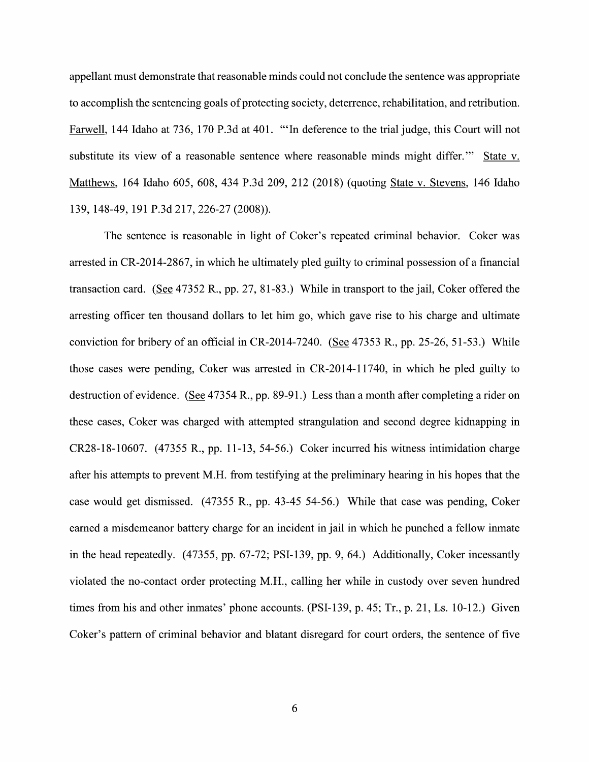appellant must demonstrate that reasonable minds could not conclude the sentence was appropriate to accomplish the sentencing goals of protecting society, deterrence, rehabilitation, and retribution. Farwell, 144 Idaho at 736, 170 P.3d at 401. "'In deference to the trial judge, this Court will not substitute its view of a reasonable sentence where reasonable minds might differ." State v. Matthews, 164 Idaho 605, 608, 434 P.3d 209, 212 (2018) (quoting State V. Stevens, 146 Idaho 139, 148-49, 191 P.3d 217, 226-27 (2008)).

The sentence is reasonable in light of Coker's repeated criminal behavior. Coker was arrested in CR-2014-2867, in which he ultimately pled guilty to criminal possession of a financial transaction card. (See  $47352$  R., pp. 27, 81-83.) While in transport to the jail, Coker offered the arresting officer ten thousand dollars to let him go, which gave rise to his charge and ultimate conviction for bribery of an official in CR-2014-7240. (See  $47353$  R., pp. 25-26, 51-53.) While those cases were pending, Coker was arrested in CR-2014-11740, in which he pled guilty to destruction of evidence. (See 47354 R., pp. 89-91.) Less than a month after completing a rider on these cases, Coker was charged with attempted strangulation and second degree kidnapping in CR28-18-10607. (47355 R., pp. 11-13, 54-56.) Coker incurred his witness intimidation charge after his attempts to prevent M.H. from testifying at the preliminary hearing in his hopes that the case would get dismissed. (47355 R., pp. 43-45 54-56.) While that case was pending, Coker earned a misdemeanor battery charge for an incident in jail in which he punched a fellow inmate in the head repeatedly. (47355, pp. 67-72; PSI-139, pp. 9, 64.) Additionally, Coker incessantly violated the no-contact order protecting M.H., calling her while in custody over seven hundred times from his and other inmates' phone accounts.  $(PSI-139, p. 45; Tr., p. 21, Ls. 10-12.)$  Given Coker's pattern 0f criminal behavior and blatant disregard for court orders, the sentence of five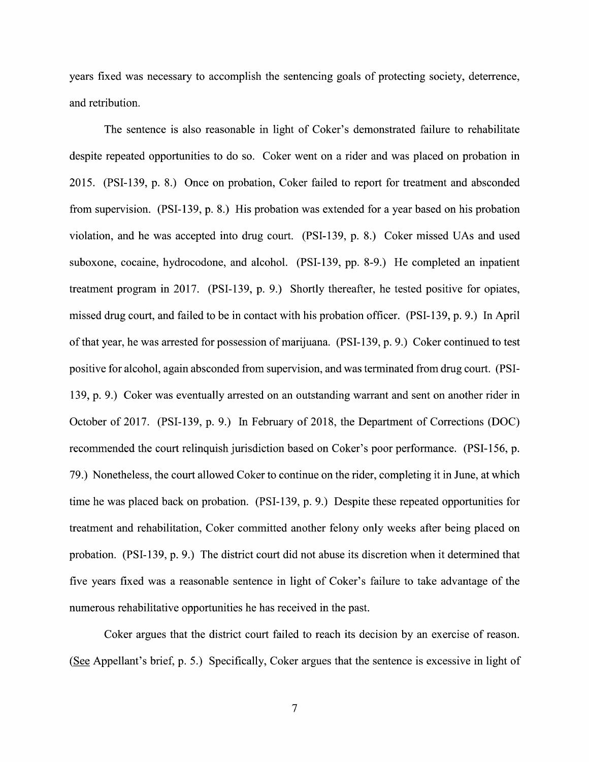years fixed was necessary to accomplish the sentencing goals 0f protecting society, deterrence, and retribution.

The sentence is also reasonable in light 0f Coker's demonstrated failure to rehabilitate despite repeated opportunities to do so. Coker went on a rider and was placed on probation in 2015. (PSI-139, p. 8.) Once on probation, Coker failed to report for treatment and absconded from supervision. (PSI-139, p. 8.) His probation was extended for a year based on his probation Violation, and he was accepted into drug court. (PSI—139, p. 8.) Coker missed UAs and used suboxone, cocaine, hydrocodone, and alcohol. (PSI-139, pp. 8-9.) He completed an inpatient treatment program in 2017. (PSI-139, p. 9.) Shortly thereafter, he tested positive for opiates, missed drug court, and failed to be in contact with his probation officer. (PSI—139, p. 9.) In April 0f that year, he was arrested for possession 0f marijuana. (PSI-139, p. 9.) Coker continued t0 test positive for alcohol, again absconded from supervision, and was terminated from drug court. (PSI-139, p. 9.) Coker was eventually arrested on an outstanding warrant and sent on another rider in October 0f 2017. (PSI-139, p. 9.) In February 0f 2018, the Department 0f Corrections (DOC) recommended the court relinquish jurisdiction based 0n Coker's poor performance. (PSI-156, p. 79.) Nonetheless, the court allowed Coker to continue 0n the rider, completing itin June, at which time he was placed back 0n probation. (PSI-139, p. 9.) Despite these repeated opportunities for treatment and rehabilitation, Coker committed another felony only weeks after being placed 0n probation. (PSI—139, p. 9.) The district court did not abuse its discretion When it determined that five years fixed was a reasonable sentence in light of Coker's failure to take advantage of the numerous rehabilitative opportunities he has received in the past.

Coker argues that the district court failed to reach its decision by an exercise of reason. (See Appellant's brief, p. 5.) Specifically, Coker argues that the sentence is excessive in light of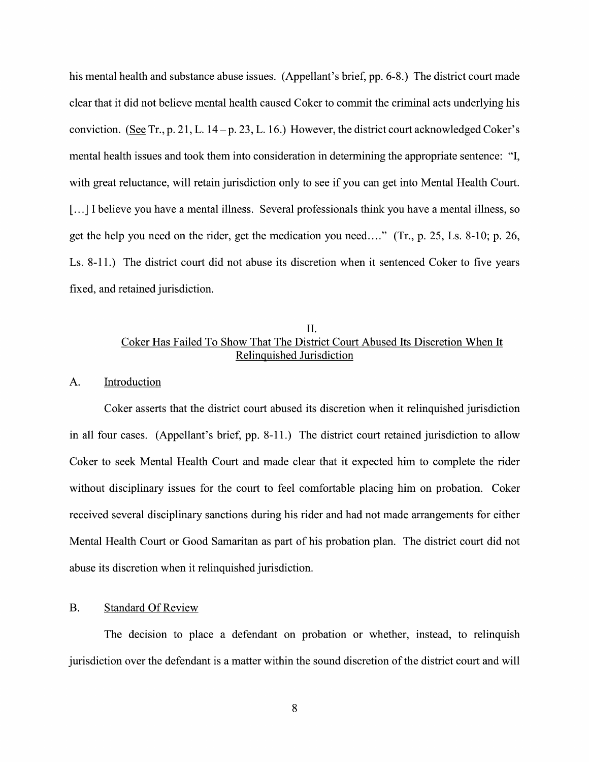his mental health and substance abuse issues. (Appellant's brief, pp. 6-8.) The district court made clear that it did not believe mental health caused Coker to commit the criminal acts underlying his conviction. (See Tr., p. 21, L.  $14 - p. 23$ , L. 16.) However, the district court acknowledged Coker's mental health issues and took them into consideration in determining the appropriate sentence: "I, with great reluctance, will retain jurisdiction only to see if you can get into Mental Health Court. [...] I believe you have a mental illness. Several professionals think you have a mental illness, so get the help you need on the rider, get the medication you need. .." (Tr., p. 25, Ls. 8-10; p. 26, Ls. 8-11.) The district court did not abuse its discretion when it sentenced Coker to five years fixed, and retained jurisdiction.

## II Coker Has Failed T0 Show That The District Court Abused Its Discretion When It Relinquished Jurisdiction

#### A. Introduction

Coker asserts that the district court abused its discretion when it relinquished jurisdiction in all four cases. (Appellant's brief, pp. 8-11.) The district court retained jurisdiction to allow Coker to seek Mental Health Court and made clear that it expected him to complete the rider without disciplinary issues for the court to feel comfortable placing him on probation. Coker received several disciplinary sanctions during his rider and had not made arrangements for either Mental Health Court or Good Samaritan as part of his probation plan. The district court did not abuse its discretion When it relinquished jurisdiction.

#### B. Standard Of Review

The decision to place a defendant on probation or whether, instead, to relinquish jurisdiction over the defendant is a matter within the sound discretion of the district court and will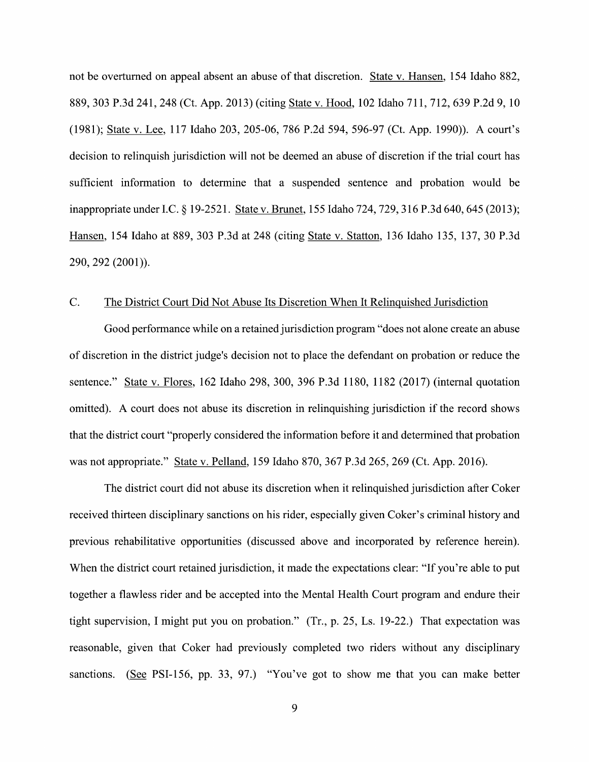not be overturned on appeal absent an abuse of that discretion. State V. Hansen, 154 Idaho 882, 889, 303 P.3d 241, 248 (Ct. App. 2013) (citing State v. Hood, 102 Idaho 711, 712, 639 P.2d 9, 10 (1981); State v. Lee, 117 Idaho 203, 205-06, 786 P.2d 594, 596-97 (Ct. App. 1990)). A court's decision to relinquish jurisdiction will not be deemed an abuse of discretion if the trial court has sufficient information to determine that a suspended sentence and probation would be inappropriate under I.C. § 19-2521. State v. Brunet, 155 Idaho 724, 729, 316 P.3d 640, 645 (2013); m, <sup>154</sup> Idaho at 889, <sup>303</sup> P.3d at <sup>248</sup> (citing State V. Statton, <sup>136</sup> Idaho 135, 137, <sup>30</sup> P.3d 290, 292 (2001)).

## C. The District Court Did Not Abuse Its Discretion When It Relinquished Jurisdiction

Good performance while on a retained jurisdiction program "does not alone create an abuse 0f discretion in the district judge's decision not to place the defendant on probation 0r reduce the sentence." State v. Flores, 162 Idaho 298, 300, 396 P.3d 1180, 1182 (2017) (internal quotation omitted). A court does not abuse its discretion in relinquishing jurisdiction if the record shows that the district court "properly considered the information before it and determined that probation was not appropriate." State V. Pelland, 159 Idaho 870, 367 P.3d 265, 269 (Ct. App. 2016).

The district court did not abuse its discretion When it relinquished jurisdiction after Coker received thirteen disciplinary sanctions on his rider, especially given Coker's criminal history and previous rehabilitative opportunities (discussed above and incorporated by reference herein). When the district court retained jurisdiction, it made the expectations clear: "If you're able to put together a flawless rider and be accepted into the Mental Health Court program and endure their tight supervision, I might put you on probation." (Tr., p. 25, Ls. 19-22.) That expectation was reasonable, given that Coker had previously completed two riders without any disciplinary sanctions. (See PSI-156, pp. 33, 97.) "You've got to show me that you can make better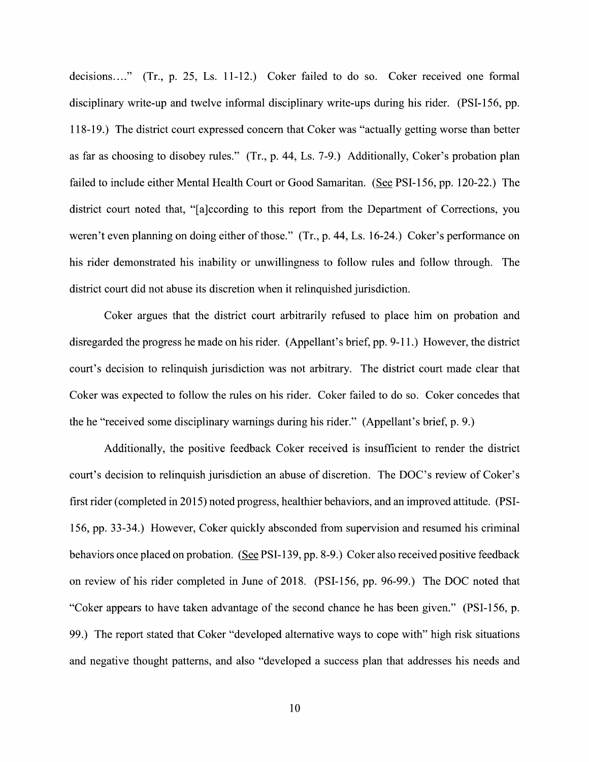decisions...." (Tr., p. 25, Ls. 11-12.) Coker failed to do so. Coker received one formal disciplinary write-up and twelve informal disciplinary write-ups during his rider. (PSI—156, pp. 118-19.) The district court expressed concern that Coker was "actually getting worse than better as far as choosing t0 disobey rules." (Tr., p. 44, Ls. 7-9.) Additionally, Coker's probation plan failed to include either Mental Health Court or Good Samaritan. (See PSI-156, pp. 120-22.) The district court noted that, "[a]ccording to this report from the Department of Corrections, you weren't even planning on doing either of those." (Tr., p. 44, Ls. 16-24.) Coker's performance on his rider demonstrated his inability or unwillingness to follow rules and follow through. The district court did not abuse its discretion When it relinquished jurisdiction.

Coker argues that the district court arbitrarily refused to place him on probation and disregarded the progress he made on his rider. (Appellant's brief, pp. 9-11.) However, the district court's decision to relinquish jurisdiction was not arbitrary. The district court made clear that Coker was expected to follow the rules on his rider. Coker failed to do so. Coker concedes that the he "received some disciplinary warnings during his rider." (Appellant's brief, p. 9.)

Additionally, the positive feedback Coker received is insufficient to render the district court's decision to relinquish jurisdiction an abuse of discretion. The DOC's review of Coker's first rider (completed in 2015) noted progress, healthier behaviors, and an improved attitude. (PSI-156, pp. 33-34.) However, Coker quickly absconded from supervision and resumed his criminal behaviors once placed on probation. (See PSI-139, pp. 8-9.) Coker also received positive feedback 0n review of his rider completed in June of 2018. (PSI-156, pp. 96-99.) The DOC noted that "Coker appears t0 have taken advantage 0f the second chance he has been given." (PSI-156, p. 99.) The report stated that Coker "developed alternative ways to cope with" high risk situations and negative thought patterns, and also "developed a success plan that addresses his needs and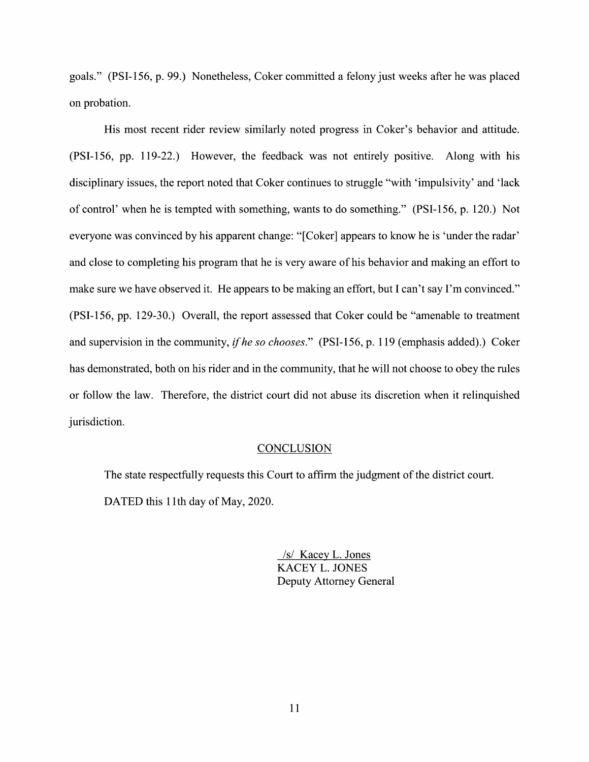goals." (PSI-156, p. 99.) Nonetheless, Coker committed a felony just weeks after he was placed 0n probation.

His most recent rider review similarly noted progress in Coker's behavior and attitude. (PSI-156, pp. 119-22.) However, the feedback was not entirely positive. Along with his disciplinary issues, the report noted that Coker continues to struggle "with 'impulsivity' and 'lack of control' When he is tempted with something, wants t0 do something." (PSI-156, p. 120.) Not everyone was convinced by his apparent change: "[Coker] appears t0 know he is 'under the radar' and close to completing his program that he is very aware of his behavior and making an effort to make sure we have observed it. He appears to be making an effort, but I can't say I'm convinced." (PSI-156, pp. 129-30.) Overall, the report assessed that Coker could be "amenable to treatment and supervision in the community, if he so chooses." (PSI-156, p. 119 (emphasis added).) Coker has demonstrated, both on his rider and in the community, that he will not choose to obey the rules 0r follow the law. Therefore, the district court did not abuse its discretion when it relinquished jurisdiction.

#### **CONCLUSION**

The state respectfully requests this Court to affirm the judgment of the district court. DATED this 11th day of May, 2020.

> /s/ Kacey L. Jones KACEY L. JONES Deputy Attorney General